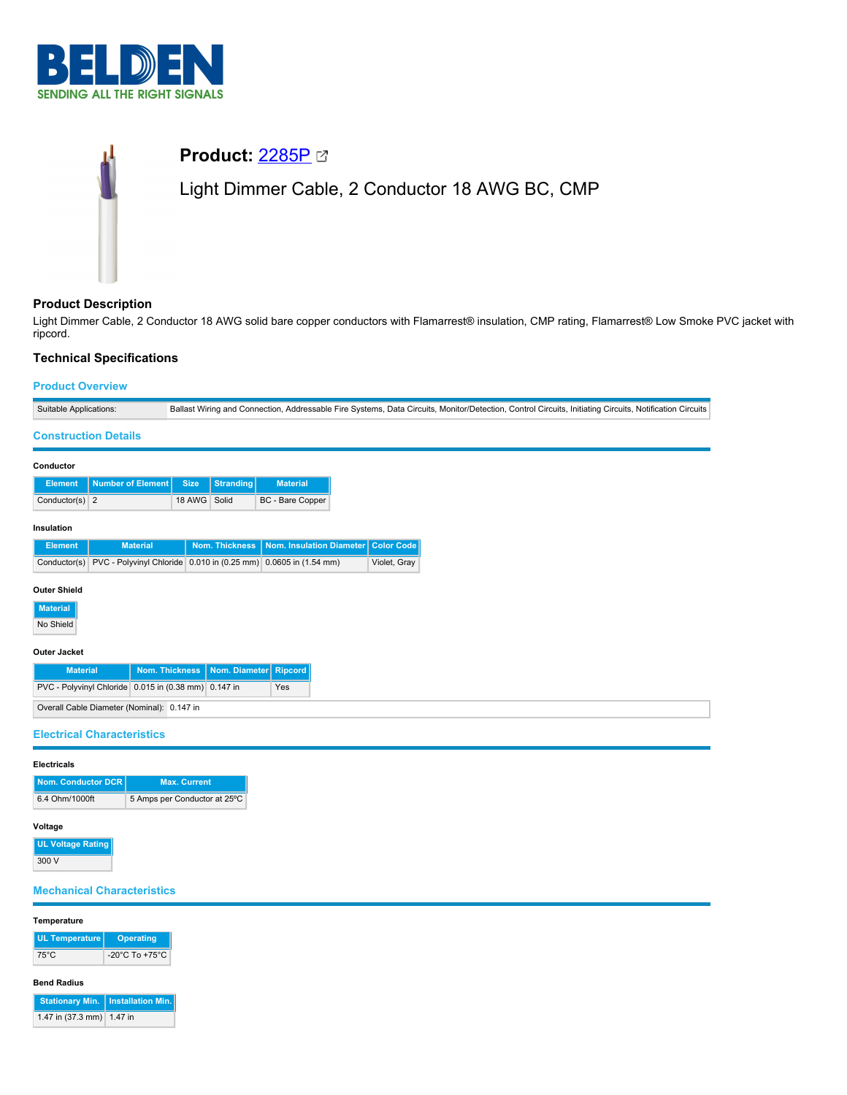

# **Product:** [2285P](https://catalog.belden.com/index.cfm?event=pd&p=PF_2285P&tab=downloads) Light Dimmer Cable, 2 Conductor 18 AWG BC, CMP

## **Product Description**

Light Dimmer Cable, 2 Conductor 18 AWG solid bare copper conductors with Flamarrest® insulation, CMP rating, Flamarrest® Low Smoke PVC jacket with ripcord.

# **Technical Specifications**

# **Product Overview**

| Suitable Applications:                               | Ballast Wiring and Connection, Addressable Fire Systems, Data Circuits, Monitor/Detection, Control Circuits, Initiating Circuits, Notification Circuits |  |  |  |  |
|------------------------------------------------------|---------------------------------------------------------------------------------------------------------------------------------------------------------|--|--|--|--|
| <b>Construction Details</b>                          |                                                                                                                                                         |  |  |  |  |
| Conductor                                            |                                                                                                                                                         |  |  |  |  |
| <b>Number of Element</b><br><b>Element</b>           | <b>Size</b><br><b>Stranding</b><br><b>Material</b>                                                                                                      |  |  |  |  |
| Conductor(s) $2$                                     | 18 AWG Solid<br>BC - Bare Copper                                                                                                                        |  |  |  |  |
| Insulation                                           |                                                                                                                                                         |  |  |  |  |
| <b>Material</b><br><b>Element</b>                    | Nom. Thickness<br>Nom. Insulation Diameter Color Code                                                                                                   |  |  |  |  |
|                                                      | Conductor(s) PVC - Polyvinyl Chloride 0.010 in (0.25 mm) 0.0605 in (1.54 mm)<br>Violet, Gray                                                            |  |  |  |  |
| <b>Outer Shield</b>                                  |                                                                                                                                                         |  |  |  |  |
| <b>Material</b>                                      |                                                                                                                                                         |  |  |  |  |
| No Shield                                            |                                                                                                                                                         |  |  |  |  |
| <b>Outer Jacket</b>                                  |                                                                                                                                                         |  |  |  |  |
| <b>Material</b>                                      | <b>Nom. Thickness</b><br><b>Ripcord</b><br>Nom. Diameter                                                                                                |  |  |  |  |
| PVC - Polyvinyl Chloride 0.015 in (0.38 mm) 0.147 in | Yes                                                                                                                                                     |  |  |  |  |
| Overall Cable Diameter (Nominal): 0.147 in           |                                                                                                                                                         |  |  |  |  |
| <b>Electrical Characteristics</b>                    |                                                                                                                                                         |  |  |  |  |
| <b>Electricals</b>                                   |                                                                                                                                                         |  |  |  |  |
| <b>Nom. Conductor DCR</b>                            | <b>Max. Current</b>                                                                                                                                     |  |  |  |  |
| 6.4 Ohm/1000ft                                       | 5 Amps per Conductor at 25°C                                                                                                                            |  |  |  |  |
| Voltage                                              |                                                                                                                                                         |  |  |  |  |
| <b>UL Voltage Rating</b>                             |                                                                                                                                                         |  |  |  |  |
| 300 V                                                |                                                                                                                                                         |  |  |  |  |
| <b>Mechanical Characteristics</b>                    |                                                                                                                                                         |  |  |  |  |
| Temperature                                          |                                                                                                                                                         |  |  |  |  |
| <b>UL Temperature</b><br><b>Operating</b>            |                                                                                                                                                         |  |  |  |  |
| $75^{\circ}$ C<br>-20°C To +75°C                     |                                                                                                                                                         |  |  |  |  |

## **Bend Radius**

|                                     | Stationary Min.   Installation Min. |
|-------------------------------------|-------------------------------------|
| 1.47 in $(37.3 \text{ mm})$ 1.47 in |                                     |